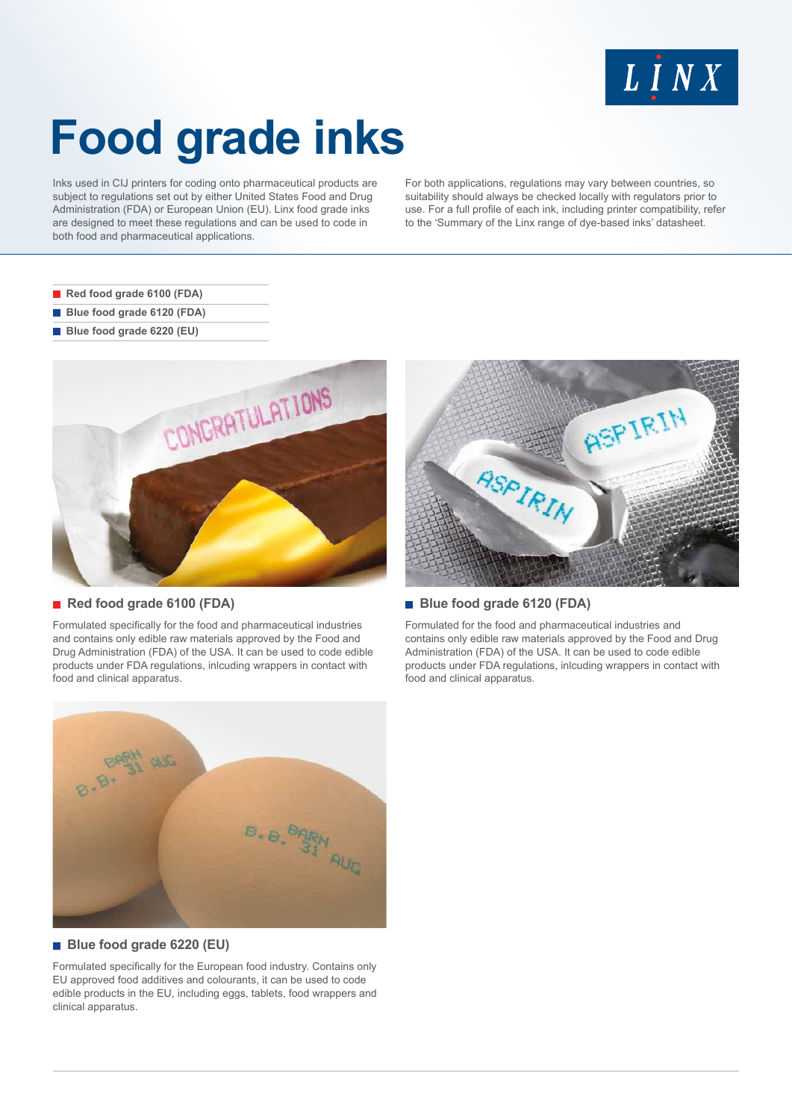

# **Food grade inks**

Inks used in CIJ printers for coding onto pharmaceutical products are subject to regulations set out by either United States Food and Drug Administration (FDA) or European Union (EU). Linx food grade inks are designed to meet these regulations and can be used to code in both food and pharmaceutical applications.

For both applications, regulations may vary between countries, so suitability should always be checked locally with regulators prior to use. For a full profile of each ink, including printer compatibility, refer to the 'Summary of the Linx range of dye-based inks' datasheet.

- **Red food grade 6100 (FDA)**
- **Blue food grade 6120 (FDA)**
- **Blue food grade 6220 (EU)**



## ■ Red food grade 6100 (FDA)

Formulated specifically for the food and pharmaceutical industries and contains only edible raw materials approved by the Food and Drug Administration (FDA) of the USA. It can be used to code edible products under FDA regulations, inlcuding wrappers in contact with food and clinical apparatus.



## **Blue food grade 6120 (FDA)**

Formulated for the food and pharmaceutical industries and contains only edible raw materials approved by the Food and Drug Administration (FDA) of the USA. It can be used to code edible products under FDA regulations, inlcuding wrappers in contact with food and clinical apparatus.



#### **Blue food grade 6220 (EU)**

Formulated specifically for the European food industry. Contains only EU approved food additives and colourants, it can be used to code edible products in the EU, including eggs, tablets, food wrappers and clinical apparatus.